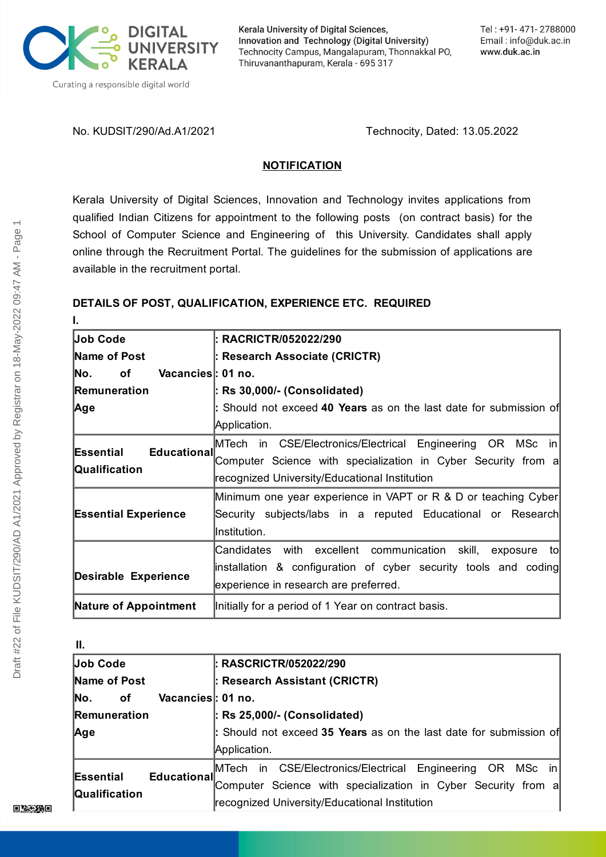

Kerala University of Digital Sciences, Innovation and Technology (Digital University) Technocity Campus, Mangalapuram, Thonnakkal PO, Thiruvananthapuram, Kerala - 695 317

No. KUDSIT/290/Ad.A1/2021 Technocity, Dated: 13.05.2022

# **NOTIFICATION**

Kerala University of Digital Sciences, Innovation and Technology invites applications from qualified Indian Citizens for appointment to the following posts (on contract basis) for the School of Computer Science and Engineering of this University. Candidates shall apply online through the Recruitment Portal. The guidelines for the submission of applications are available in the recruitment portal.

# **DETAILS OF POST, QUALIFICATION, EXPERIENCE ETC. REQUIRED**

| I.                                        |                                                                    |
|-------------------------------------------|--------------------------------------------------------------------|
| Job Code                                  | : RACRICTR/052022/290                                              |
| Name of Post                              | : Research Associate (CRICTR)                                      |
| lNo.<br>of<br>Vacancies : 01 no.          |                                                                    |
| Remuneration                              | : Rs 30,000/- (Consolidated)                                       |
| Age                                       | : Should not exceed 40 Years as on the last date for submission of |
|                                           | Application.                                                       |
| Educational<br>Essential<br>Qualification | MTech in CSE/Electronics/Electrical Engineering OR MSc in          |
|                                           | Computer Science with specialization in Cyber Security from a      |
|                                           | recognized University/Educational Institution                      |
| <b>Essential Experience</b>               | Minimum one year experience in VAPT or R & D or teaching Cyber     |
|                                           | Security subjects/labs in a reputed Educational or Research        |
|                                           | Institution.                                                       |
|                                           | Candidates with excellent communication skill,<br>exposure to      |
| <b>Desirable Experience</b>               | linstallation & configuration of cyber security tools and coding   |
|                                           | experience in research are preferred.                              |
| <b>Nature of Appointment</b>              | Initially for a period of 1 Year on contract basis.                |

| Ш.                                                      |                                                                    |
|---------------------------------------------------------|--------------------------------------------------------------------|
| Job Code                                                | <b>: RASCRICTR/052022/290</b>                                      |
| Name of Post                                            | : Research Assistant (CRICTR)                                      |
| Vacancies : 01 no.<br>No.<br>οf                         |                                                                    |
| <b>Remuneration</b>                                     | $\vert$ : Rs 25,000/- (Consolidated)                               |
| Age                                                     | : Should not exceed 35 Years as on the last date for submission of |
|                                                         | Application.                                                       |
| Educational<br><b>Essential</b><br><b>Qualification</b> | CSE/Electronics/Electrical Engineering OR MSc in<br>MTech in       |
|                                                         | Computer Science with specialization in Cyber Security from a      |
|                                                         | recognized University/Educational Institution                      |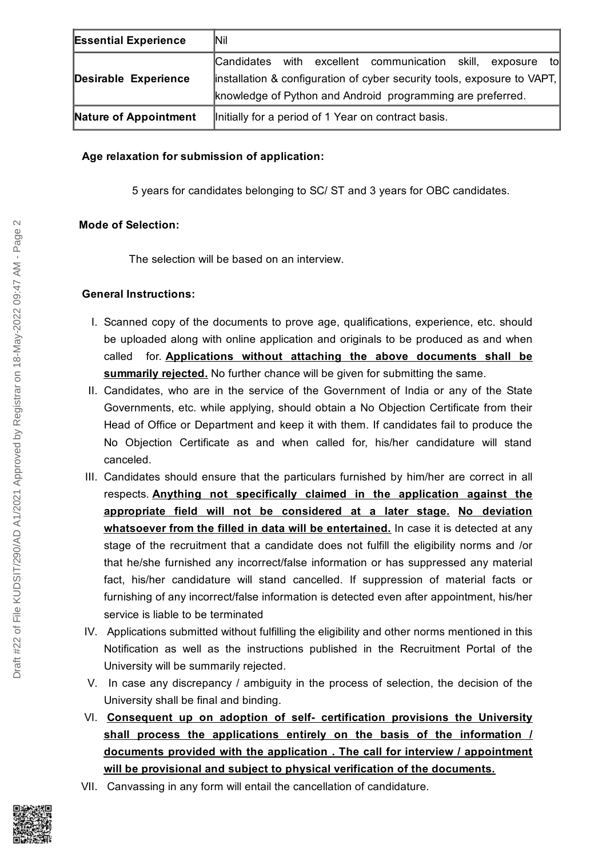| <b>Essential Experience</b> | lNil                                                                     |
|-----------------------------|--------------------------------------------------------------------------|
|                             | tol<br>Candidates with excellent communication skill, exposure           |
| Desirable Experience        | linstallation & configuration of cyber security tools, exposure to VAPT, |
|                             | knowledge of Python and Android programming are preferred.               |
| Nature of Appointment       | Initially for a period of 1 Year on contract basis.                      |

## **Age relaxation for submission of application:**

5 years for candidates belonging to SC/ ST and 3 years for OBC candidates.

### **Mode of Selection:**

The selection will be based on an interview.

### **General Instructions:**

- I. Scanned copy of the documents to prove age, qualifications, experience, etc. should be uploaded along with online application and originals to be produced as and when called for. **Applications without attaching the above documents shall be summarily rejected.** No further chance will be given for submitting the same.
- II. Candidates, who are in the service of the Government of India or any of the State Governments, etc. while applying, should obtain a No Objection Certificate from their Head of Office or Department and keep it with them. If candidates fail to produce the No Objection Certificate as and when called for, his/her candidature will stand canceled.
- III. Candidates should ensure that the particulars furnished by him/her are correct in all respects. **Anything not specifically claimed in the application against the appropriate field will not be considered at a later stage. No deviation whatsoever from the filled in data will be entertained.** In case it is detected at any stage of the recruitment that a candidate does not fulfill the eligibility norms and /or that he/she furnished any incorrect/false information or has suppressed any material fact, his/her candidature will stand cancelled. If suppression of material facts or furnishing of any incorrect/false information is detected even after appointment, his/her service is liable to be terminated
- IV. Applications submitted without fulfilling the eligibility and other norms mentioned in this Notification as well as the instructions published in the Recruitment Portal of the University will be summarily rejected.
- V. In case any discrepancy / ambiguity in the process of selection, the decision of the University shall be final and binding.
- VI. **Consequent up on adoption of self- certification provisions the University shall process the applications entirely on the basis of the information / documents provided with the application . The call for interview / appointment will be provisional and subject to physical verification of the documents.**
- VII. Canvassing in any form will entail the cancellation of candidature.